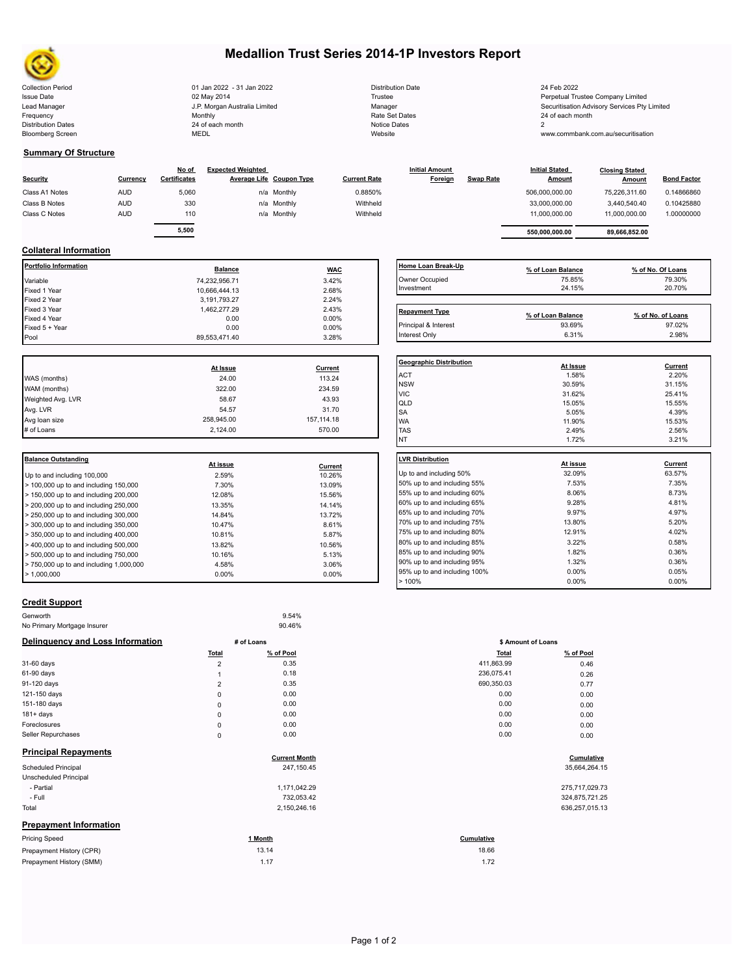

# **Medallion Trust Series 2014-1P Investors Report**

| <b>Collection Period</b>  | 01 Jan 2022 - 31 Jan 2022     | <b>Distribution Date</b> | 24 Feb 2022                                |
|---------------------------|-------------------------------|--------------------------|--------------------------------------------|
| <b>Issue Date</b>         | 02 May 2014                   | Trustee                  | Perpetual Trustee Company Limited          |
| Lead Manager              | J.P. Morgan Australia Limited | Manager                  | Securitisation Advisory Services Pty Limit |
| Frequency                 | Monthly                       | Rate Set Dates           | 24 of each month                           |
| <b>Distribution Dates</b> | 24 of each month              | Notice Dates             |                                            |
| <b>Bloomberg Screen</b>   | <b>MEDL</b>                   | Website                  | www.commbank.com.au/securitisation         |
|                           |                               |                          |                                            |

### **Summary Of Structure**

| Security       | Currency   | No of<br><b>Certificates</b> | <b>Expected Weighted</b> | <b>Average Life Coupon Type</b> | <b>Current Rate</b> | <b>Initial Amount</b><br>Foreign | <b>Swap Rate</b> | <b>Initial Stated</b><br><b>Amount</b> | <b>Closing Stated</b><br>Amount | <b>Bond Factor</b> |
|----------------|------------|------------------------------|--------------------------|---------------------------------|---------------------|----------------------------------|------------------|----------------------------------------|---------------------------------|--------------------|
| Class A1 Notes | <b>AUD</b> | 5,060                        |                          | n/a Monthly                     | 0.8850%             |                                  |                  | 506,000,000.00                         | 75,226,311.60                   | 0.14866860         |
| Class B Notes  | <b>AUD</b> | 330                          |                          | n/a Monthly                     | Withheld            |                                  |                  | 33,000,000.00                          | 3.440.540.40                    | 0.10425880         |
| Class C Notes  | <b>AUD</b> | 110                          |                          | n/a Monthly                     | Withheld            |                                  |                  | 11.000.000.00                          | 11.000.000.00                   | 1.00000000         |
|                |            |                              |                          |                                 |                     |                                  |                  |                                        |                                 |                    |
|                |            | 5,500                        |                          |                                 |                     |                                  |                  | 550.000.000.00                         | 89,666,852.00                   |                    |

## **Collateral Information**

| Portfolio Information         | <b>Balance</b>    | <b>WAC</b>               | Home Loan Break                         |
|-------------------------------|-------------------|--------------------------|-----------------------------------------|
| Variable                      | 74,232,956.71     | 3.42%                    | Owner Occupied                          |
| Fixed 1 Year                  | 10,666,444.13     | 2.68%                    | Investment                              |
| Fixed 2 Year                  | 3,191,793.27      | 2.24%                    |                                         |
| Fixed 3 Year                  | 1,462,277.29      | 2.43%                    | <b>Repayment Type</b>                   |
| Fixed 4 Year                  | 0.00              | 0.00%                    |                                         |
| Fixed 5 + Year                | 0.00              | 0.00%                    | Principal & Interest                    |
| Pool                          | 89,553,471.40     | 3.28%                    | Interest Only                           |
|                               |                   |                          |                                         |
|                               |                   |                          |                                         |
| WAS (months)                  | At Issue<br>24.00 | <b>Current</b><br>113.24 | <b>ACT</b>                              |
| WAM (months)                  | 322.00            | 234.59                   | <b>Geographic Distril</b><br><b>NSW</b> |
|                               | 58.67             | 43.93                    | <b>VIC</b>                              |
| Weighted Avg. LVR<br>Avg. LVR | 54.57             | 31.70                    | QLD                                     |
| Avg loan size                 | 258,945.00        | 157, 114. 18             | SA<br><b>WA</b>                         |
| # of Loans                    | 2,124.00          | 570.00                   | <b>TAS</b>                              |

| <b>I</b> Balance Outstanding                              |          |          | <b>ILVR Distribution</b> |
|-----------------------------------------------------------|----------|----------|--------------------------|
|                                                           | At issue | Current  |                          |
| Up to and including 100,000                               | 2.59%    | 10.26%   | Up to and including      |
| $>$ 100,000 up to and including 150,000                   | 7.30%    | 13.09%   | 50% up to and incl       |
| $>$ 150,000 up to and including 200,000                   | 12.08%   | 15.56%   | 55% up to and incl       |
| $>$ 200,000 up to and including 250,000                   | 13.35%   | 14.14%   | 60% up to and incl       |
| $\blacktriangleright$ 250,000 up to and including 300,000 | 14.84%   | 13.72%   | 65% up to and incl       |
| $\geq$ 300,000 up to and including 350,000                | 10.47%   | 8.61%    | 70% up to and incl       |
| $>$ 350,000 up to and including 400,000                   | 10.81%   | 5.87%    | 75% up to and incl       |
| $>$ 400,000 up to and including 500,000                   | 13.82%   | 10.56%   | 80% up to and incl       |
| $>$ 500,000 up to and including 750,000                   | 10.16%   | 5.13%    | 85% up to and incl       |
| $> 750,000$ up to and including 1,000,000                 | 4.58%    | 3.06%    | 90% up to and incl       |
| $\blacktriangleright$ 1.000.000                           | $0.00\%$ | $0.00\%$ | 95% up to and incl       |
|                                                           |          |          | $-4000$                  |

| Owner Occupied                 | 75.85%            | 79.30%            |
|--------------------------------|-------------------|-------------------|
| Investment                     | 24.15%            | 20.70%            |
| <b>Repayment Type</b>          |                   |                   |
|                                | % of Loan Balance | % of No. of Loans |
| Principal & Interest           | 93.69%            | 97.02%            |
| Interest Only                  | 6.31%             | 2.98%             |
|                                |                   |                   |
| <b>Geographic Distribution</b> | At Issue          | Current           |
| <b>ACT</b>                     | 1.58%             | 2.20%             |
| <b>NSW</b>                     | 30.59%            | 31.15%            |
| <b>VIC</b>                     | 31.62%            | 25.41%            |
| QLD                            | 15.05%            | 15.55%            |
| <b>SA</b>                      | 5.05%             | 4.39%             |
| <b>WA</b>                      | 11.90%            | 15.53%            |
| <b>TAS</b>                     | 2.49%             | 2.56%             |
| NT                             | 1.72%             | 3.21%             |
| <b>LVR Distribution</b>        |                   | Current           |
|                                | At issue          |                   |
| Up to and including 50%        | 32.09%            | 63.57%            |
| 50% up to and including 55%    | 7.53%             | 7.35%             |
| 55% up to and including 60%    | 8.06%             | 8.73%             |
| 60% up to and including 65%    | 9.28%             | 4.81%             |
| 65% up to and including 70%    | 9.97%             | 4.97%             |
| 70% up to and including 75%    | 13.80%            | 5.20%             |
| 75% up to and including 80%    | 12.91%            | 4.02%             |
| 80% up to and including 85%    | 3.22%             | 0.58%             |
| 85% up to and including 90%    | 1.82%             | 0.36%             |
| 90% up to and including 95%    | 1.32%             | 0.36%             |
| 95% up to and including 100%   | 0.00%             | 0.05%             |
|                                |                   |                   |

**Home Loan Break-Up % of Loan Balance % of No. Of Loans**

## **Credit Support**

Prepayment History (SMM)

| Genworth                         |                | 9.54%                |                           |  |
|----------------------------------|----------------|----------------------|---------------------------|--|
| No Primary Mortgage Insurer      |                | 90.46%               |                           |  |
| Delinquency and Loss Information |                | # of Loans           | \$ Amount of Loans        |  |
|                                  | Total          | % of Pool            | % of Pool<br><b>Total</b> |  |
| 31-60 days                       | $\overline{2}$ | 0.35                 | 411,863.99<br>0.46        |  |
| 61-90 days                       |                | 0.18                 | 236,075.41<br>0.26        |  |
| 91-120 days                      | $\overline{2}$ | 0.35                 | 690,350.03<br>0.77        |  |
| 121-150 days                     | 0              | 0.00                 | 0.00<br>0.00              |  |
| 151-180 days                     | 0              | 0.00                 | 0.00<br>0.00              |  |
| $181 + days$                     | 0              | 0.00                 | 0.00<br>0.00              |  |
| Foreclosures                     | 0              | 0.00                 | 0.00<br>0.00              |  |
| Seller Repurchases               | 0              | 0.00                 | 0.00<br>0.00              |  |
| <b>Principal Repayments</b>      |                |                      |                           |  |
|                                  |                | <b>Current Month</b> | Cumulative                |  |
| <b>Scheduled Principal</b>       |                | 247,150.45           | 35,664,264.15             |  |
| Unscheduled Principal            |                |                      |                           |  |
| - Partial                        |                | 1,171,042.29         | 275,717,029.73            |  |
| - Full                           |                | 732,053.42           | 324,875,721.25            |  |
| Total                            |                | 2,150,246.16         | 636,257,015.13            |  |
| <b>Prepayment Information</b>    |                |                      |                           |  |
| <b>Pricing Speed</b>             |                | 1 Month              | Cumulative                |  |
| Prepayment History (CPR)         |                | 13.14                | 18.66                     |  |

|                      | \$ Amount of Loans |                |  |
|----------------------|--------------------|----------------|--|
| of Pool              | <b>Total</b>       | % of Pool      |  |
| 0.35                 | 411,863.99         | 0.46           |  |
| 0.18                 | 236,075.41         | 0.26           |  |
| 0.35                 | 690,350.03         | 0.77           |  |
| 0.00                 | 0.00               | 0.00           |  |
| 0.00                 | 0.00               | 0.00           |  |
| 0.00                 | 0.00               | 0.00           |  |
| 0.00                 | 0.00               | 0.00           |  |
| 0.00                 | 0.00               | 0.00           |  |
| <b>Current Month</b> |                    | Cumulative     |  |
| 247,150.45           |                    | 35,664,264.15  |  |
| 1,171,042.29         |                    | 275,717,029.73 |  |

| _ . _ _        |
|----------------|
| 324,875,721.25 |
| 636.257.015.13 |

 $> 100\%$  0.00% 0.00% 0.00% 0.00% 0.00% 0.00% 0.00% 0.00% 0.00% 0.00% 0.00% 0.00% 0.00% 0.00% 0.00% 0.00% 0.00% 0.00% 0.00% 0.00% 0.00% 0.00% 0.00% 0.00% 0.00% 0.00% 0.00% 0.00% 0.00% 0.00% 0.00% 0.00% 0.00% 0.00% 0.00% 0

# 18.66

1.17 1.72